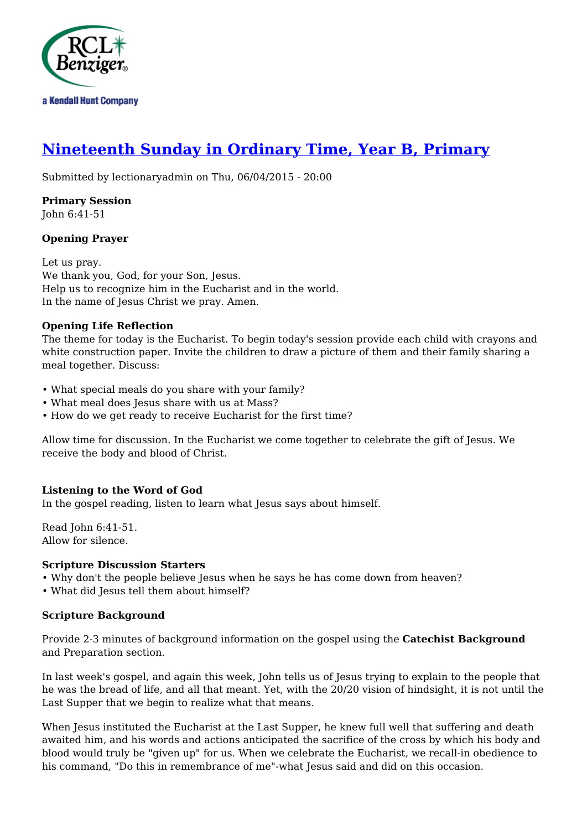

# **[Nineteenth Sunday in Ordinary Time, Year B, Primary](http://rclblectionary.com/nineteenth-sunday-ordinary-time-year-b-primary)**

Submitted by lectionaryadmin on Thu, 06/04/2015 - 20:00

**Primary Session** John 6:41-51

## **Opening Prayer**

Let us pray. We thank you, God, for your Son, Jesus. Help us to recognize him in the Eucharist and in the world. In the name of Jesus Christ we pray. Amen.

## **Opening Life Reflection**

The theme for today is the Eucharist. To begin today's session provide each child with crayons and white construction paper. Invite the children to draw a picture of them and their family sharing a meal together. Discuss:

- What special meals do you share with your family?
- What meal does Jesus share with us at Mass?
- How do we get ready to receive Eucharist for the first time?

Allow time for discussion. In the Eucharist we come together to celebrate the gift of Jesus. We receive the body and blood of Christ.

## **Listening to the Word of God**

In the gospel reading, listen to learn what Jesus says about himself.

Read John 6:41-51. Allow for silence.

#### **Scripture Discussion Starters**

- Why don't the people believe Jesus when he says he has come down from heaven?
- What did Jesus tell them about himself?

#### **Scripture Background**

Provide 2-3 minutes of background information on the gospel using the **Catechist Background** and Preparation section.

In last week's gospel, and again this week, John tells us of Jesus trying to explain to the people that he was the bread of life, and all that meant. Yet, with the 20/20 vision of hindsight, it is not until the Last Supper that we begin to realize what that means.

When Jesus instituted the Eucharist at the Last Supper, he knew full well that suffering and death awaited him, and his words and actions anticipated the sacrifice of the cross by which his body and blood would truly be "given up" for us. When we celebrate the Eucharist, we recall-in obedience to his command, "Do this in remembrance of me"-what Jesus said and did on this occasion.